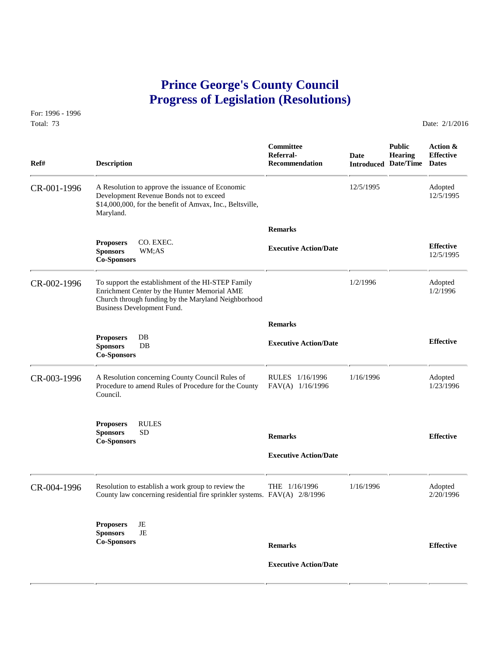## **Prince George's County Council Progress of Legislation (Resolutions)**

For: 1996 - 1996 Total: 73 Date: 2/1/2016

 **Committee Public Action & Referral- Date Hearing Effective Ref# Description Recommendation Introduced Date/Time Dates** CR-001-1996 A Resolution to approve the issuance of Economic 12/5/1995 Adopted<br>Development Revenue Bonds not to exceed 12/5/1995 12/5/1995 Development Revenue Bonds not to exceed \$14,000,000, for the benefit of Amvax, Inc., Beltsville, Maryland.  **Remarks Proposers** CO. EXEC. **Effective Executive Action/Date Sponsors** WM;AS 12/5/1995 **Co-Sponsors**  CR-002-1996 To support the establishment of the HI-STEP Family 1/2/1996 Adopted<br>Enrichment Center by the Hunter Memorial AME 1/2/1996 1/2/1996 Enrichment Center by the Hunter Memorial AME Church through funding by the Maryland Neighborhood Business Development Fund.  **Remarks Proposers** DB **Effective Executive Action/Date Sponsors** DB **Co-Sponsors**  CR-003-1996 A Resolution concerning County Council Rules of RULES 1/16/1996 1/16/1996 Adopted<br>Procedure to amend Rules of Procedure for the County FAV(A) 1/16/1996 1/23/1996 Procedure to amend Rules of Procedure for the County Council. **Proposers** RULES **Sponsors** SD **Remarks Effective Co-Sponsors Executive Action/Date** CR-004-1996 Resolution to establish a work group to review the THE 1/16/1996 1/16/1996 Adopted County law concerning residential fire sprinkler systems. FAV(A) 2/8/1996 2/20/1996 County law concerning residential fire sprinkler systems.  $FAV(A)$  2/8/1996 **Proposers** JE **Sponsors** JE **Co-Sponsors Remarks Effective Executive Action/Date**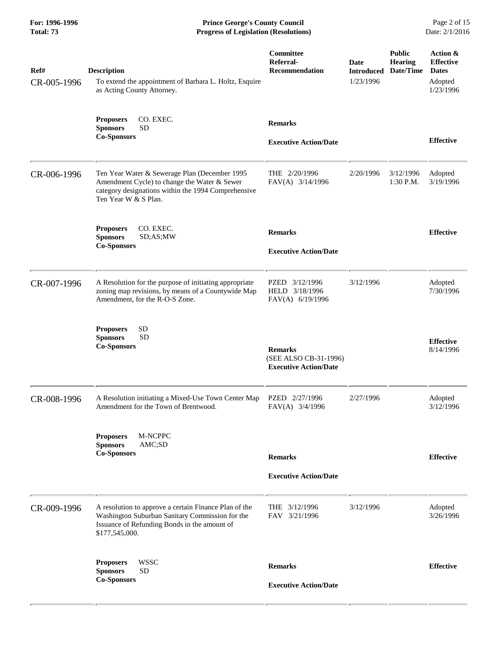**For: 1996-1996 Prince George's County Council** Page 2 of 15<br> **Progress of Legislation (Resolutions)** Date: 2/1/2016 **Progress of Legislation (Resolutions) Progress of Legislation (Resolutions)** 

| Ref#<br>CR-005-1996 | <b>Description</b><br>To extend the appointment of Barbara L. Holtz, Esquire<br>as Acting County Attorney.                                                                   | Committee<br>Referral-<br><b>Recommendation</b>                         | Date<br><b>Introduced</b><br>1/23/1996 | <b>Public</b><br><b>Hearing</b><br>Date/Time | Action &<br><b>Effective</b><br><b>Dates</b><br>Adopted<br>1/23/1996 |
|---------------------|------------------------------------------------------------------------------------------------------------------------------------------------------------------------------|-------------------------------------------------------------------------|----------------------------------------|----------------------------------------------|----------------------------------------------------------------------|
|                     | CO. EXEC.<br><b>Proposers</b><br><b>SD</b><br><b>Sponsors</b><br><b>Co-Sponsors</b>                                                                                          | <b>Remarks</b><br><b>Executive Action/Date</b>                          |                                        |                                              | <b>Effective</b>                                                     |
| CR-006-1996         | Ten Year Water & Sewerage Plan (December 1995<br>Amendment Cycle) to change the Water & Sewer<br>category designations within the 1994 Comprehensive<br>Ten Year W & S Plan. | THE 2/20/1996<br>FAV(A) 3/14/1996                                       | 2/20/1996                              | 3/12/1996<br>1:30 P.M.                       | Adopted<br>3/19/1996                                                 |
|                     | CO. EXEC.<br><b>Proposers</b><br><b>Sponsors</b><br>SD;AS;MW<br><b>Co-Sponsors</b>                                                                                           | <b>Remarks</b><br><b>Executive Action/Date</b>                          |                                        |                                              | <b>Effective</b>                                                     |
| CR-007-1996         | A Resolution for the purpose of initiating appropriate<br>zoning map revisions, by means of a Countywide Map<br>Amendment, for the R-O-S Zone.                               | PZED 3/12/1996<br>HELD 3/18/1996<br>FAV(A) 6/19/1996                    | 3/12/1996                              |                                              | Adopted<br>7/30/1996                                                 |
|                     | <b>SD</b><br><b>Proposers</b><br><b>SD</b><br><b>Sponsors</b><br><b>Co-Sponsors</b>                                                                                          | <b>Remarks</b><br>(SEE ALSO CB-31-1996)<br><b>Executive Action/Date</b> |                                        |                                              | <b>Effective</b><br>8/14/1996                                        |
| CR-008-1996         | A Resolution initiating a Mixed-Use Town Center Map<br>Amendment for the Town of Brentwood.                                                                                  | PZED 2/27/1996<br>FAV(A) 3/4/1996                                       | 2/27/1996                              |                                              | Adopted<br>3/12/1996                                                 |
|                     | M-NCPPC<br><b>Proposers</b><br><b>Sponsors</b><br>AMC;SD<br><b>Co-Sponsors</b>                                                                                               | <b>Remarks</b><br><b>Executive Action/Date</b>                          |                                        |                                              | <b>Effective</b>                                                     |
| CR-009-1996         | A resolution to approve a certain Finance Plan of the<br>Washington Suburban Sanitary Commission for the<br>Issuance of Refunding Bonds in the amount of<br>\$177,545,000.   | THE 3/12/1996<br>FAV 3/21/1996                                          | 3/12/1996                              |                                              | Adopted<br>3/26/1996                                                 |
|                     | <b>WSSC</b><br><b>Proposers</b><br><b>SD</b><br><b>Sponsors</b><br><b>Co-Sponsors</b>                                                                                        | <b>Remarks</b><br><b>Executive Action/Date</b>                          |                                        |                                              | <b>Effective</b>                                                     |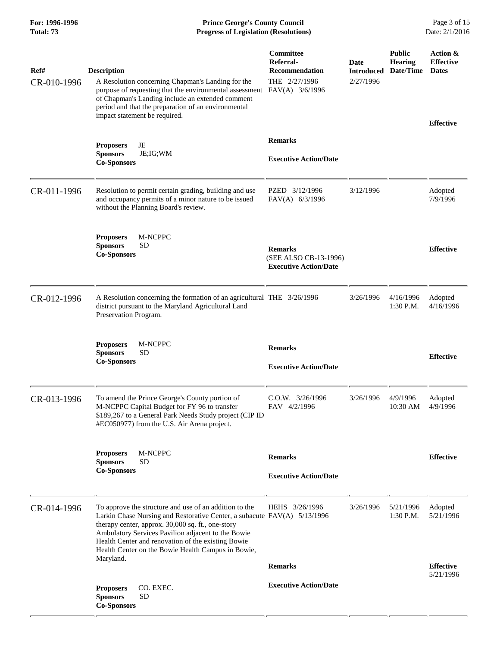**For: 1996-1996 Prince George's County Council** Page 3 of 15<br> **Prince George's County Council** Page 3 of 15<br> **Progress of Legislation (Resolutions)** Date: 2/1/2016 **Total: 73 Progress of Legislation (Resolutions)** 

| Ref#<br>CR-010-1996 | <b>Description</b><br>A Resolution concerning Chapman's Landing for the<br>purpose of requesting that the environmental assessment FAV(A) 3/6/1996<br>of Chapman's Landing include an extended comment<br>period and that the preparation of an environmental<br>impact statement be required.                                                                         | Committee<br>Referral-<br>Recommendation<br>THE 2/27/1996               | Date<br><b>Introduced</b><br>2/27/1996 | <b>Public</b><br>Hearing<br>Date/Time | Action &<br><b>Effective</b><br><b>Dates</b><br><b>Effective</b> |
|---------------------|------------------------------------------------------------------------------------------------------------------------------------------------------------------------------------------------------------------------------------------------------------------------------------------------------------------------------------------------------------------------|-------------------------------------------------------------------------|----------------------------------------|---------------------------------------|------------------------------------------------------------------|
|                     | <b>Proposers</b><br>JE<br>JE; IG; WM<br><b>Sponsors</b><br><b>Co-Sponsors</b>                                                                                                                                                                                                                                                                                          | <b>Remarks</b><br><b>Executive Action/Date</b>                          |                                        |                                       |                                                                  |
| CR-011-1996         | Resolution to permit certain grading, building and use<br>and occupancy permits of a minor nature to be issued<br>without the Planning Board's review.                                                                                                                                                                                                                 | PZED 3/12/1996<br>FAV(A) 6/3/1996                                       | 3/12/1996                              |                                       | Adopted<br>7/9/1996                                              |
|                     | M-NCPPC<br><b>Proposers</b><br><b>Sponsors</b><br><b>SD</b><br><b>Co-Sponsors</b>                                                                                                                                                                                                                                                                                      | <b>Remarks</b><br>(SEE ALSO CB-13-1996)<br><b>Executive Action/Date</b> |                                        |                                       | <b>Effective</b>                                                 |
| CR-012-1996         | A Resolution concerning the formation of an agricultural THE 3/26/1996<br>district pursuant to the Maryland Agricultural Land<br>Preservation Program.                                                                                                                                                                                                                 |                                                                         | 3/26/1996                              | 4/16/1996<br>$1:30$ P.M.              | Adopted<br>4/16/1996                                             |
|                     | <b>Proposers</b><br>M-NCPPC<br><b>SD</b><br><b>Sponsors</b><br><b>Co-Sponsors</b>                                                                                                                                                                                                                                                                                      | <b>Remarks</b><br><b>Executive Action/Date</b>                          |                                        |                                       | <b>Effective</b>                                                 |
| CR-013-1996         | To amend the Prince George's County portion of<br>M-NCPPC Capital Budget for FY 96 to transfer<br>\$189,267 to a General Park Needs Study project (CIP ID<br>#EC050977) from the U.S. Air Arena project.                                                                                                                                                               | $C.0.W.$ $3/26/1996$<br>FAV 4/2/1996                                    | 3/26/1996                              | 4/9/1996<br>10:30 AM                  | Adopted<br>4/9/1996                                              |
|                     | M-NCPPC<br><b>Proposers</b><br><b>Sponsors</b><br>SD<br><b>Co-Sponsors</b>                                                                                                                                                                                                                                                                                             | <b>Remarks</b><br><b>Executive Action/Date</b>                          |                                        |                                       | <b>Effective</b>                                                 |
| CR-014-1996         | To approve the structure and use of an addition to the<br>Larkin Chase Nursing and Restorative Center, a subacute FAV(A) 5/13/1996<br>therapy center, approx. 30,000 sq. ft., one-story<br>Ambulatory Services Pavilion adjacent to the Bowie<br>Health Center and renovation of the existing Bowie<br>Health Center on the Bowie Health Campus in Bowie,<br>Maryland. | HEHS 3/26/1996                                                          | 3/26/1996                              | 5/21/1996<br>$1:30$ P.M.              | Adopted<br>5/21/1996                                             |
|                     | CO. EXEC.<br><b>Proposers</b><br><b>Sponsors</b><br><b>SD</b><br><b>Co-Sponsors</b>                                                                                                                                                                                                                                                                                    | <b>Remarks</b><br><b>Executive Action/Date</b>                          |                                        |                                       | <b>Effective</b><br>5/21/1996                                    |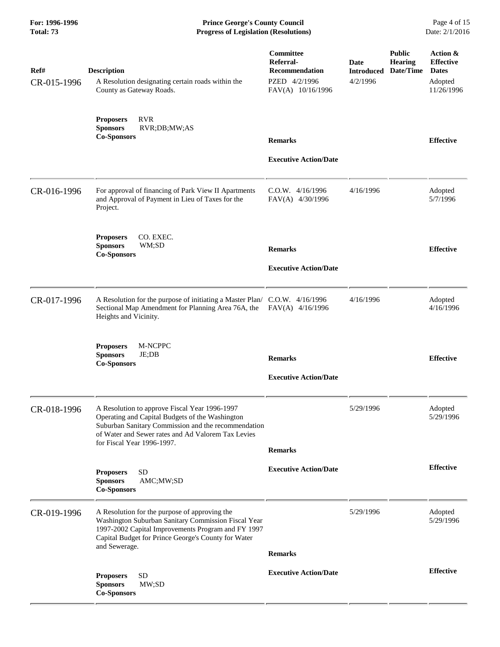**For: 1996-1996 Prince George's County Council** Page 4 of 15<br> **Progress of Legislation (Resolutions)** Date: 2/1/2016 **Progress of Legislation (Resolutions) Progress of Legislation (Resolutions)** 

| Ref#<br>CR-015-1996 | <b>Description</b><br>A Resolution designating certain roads within the<br>County as Gateway Roads.                                                                                                                                         | Committee<br>Referral-<br><b>Recommendation</b><br>PZED 4/2/1996<br>FAV(A) 10/16/1996 | Date<br><b>Introduced</b><br>4/2/1996 | <b>Public</b><br><b>Hearing</b><br>Date/Time | Action &<br><b>Effective</b><br><b>Dates</b><br>Adopted<br>11/26/1996 |
|---------------------|---------------------------------------------------------------------------------------------------------------------------------------------------------------------------------------------------------------------------------------------|---------------------------------------------------------------------------------------|---------------------------------------|----------------------------------------------|-----------------------------------------------------------------------|
|                     | <b>RVR</b><br><b>Proposers</b><br><b>Sponsors</b><br>RVR;DB;MW;AS<br><b>Co-Sponsors</b>                                                                                                                                                     | <b>Remarks</b><br><b>Executive Action/Date</b>                                        |                                       |                                              | <b>Effective</b>                                                      |
| CR-016-1996         | For approval of financing of Park View II Apartments<br>and Approval of Payment in Lieu of Taxes for the<br>Project.                                                                                                                        | C.O.W. 4/16/1996<br>FAV(A) 4/30/1996                                                  | 4/16/1996                             |                                              | Adopted<br>5/7/1996                                                   |
|                     | CO. EXEC.<br><b>Proposers</b><br><b>Sponsors</b><br>WM;SD<br><b>Co-Sponsors</b>                                                                                                                                                             | <b>Remarks</b><br><b>Executive Action/Date</b>                                        |                                       |                                              | <b>Effective</b>                                                      |
| CR-017-1996         | A Resolution for the purpose of initiating a Master Plan/ C.O.W. 4/16/1996<br>Sectional Map Amendment for Planning Area 76A, the<br>Heights and Vicinity.                                                                                   | $FAV(A)$ 4/16/1996                                                                    | 4/16/1996                             |                                              | Adopted<br>4/16/1996                                                  |
|                     | <b>Proposers</b><br>M-NCPPC<br>JE;DB<br><b>Sponsors</b><br><b>Co-Sponsors</b>                                                                                                                                                               | <b>Remarks</b><br><b>Executive Action/Date</b>                                        |                                       |                                              | <b>Effective</b>                                                      |
| CR-018-1996         | A Resolution to approve Fiscal Year 1996-1997<br>Operating and Capital Budgets of the Washington<br>Suburban Sanitary Commission and the recommendation<br>of Water and Sewer rates and Ad Valorem Tax Levies<br>for Fiscal Year 1996-1997. | <b>Remarks</b>                                                                        | 5/29/1996                             |                                              | Adopted<br>5/29/1996                                                  |
|                     | <b>SD</b><br><b>Proposers</b><br><b>Sponsors</b><br>AMC;MW;SD<br><b>Co-Sponsors</b>                                                                                                                                                         | <b>Executive Action/Date</b>                                                          |                                       |                                              | <b>Effective</b>                                                      |
| CR-019-1996         | A Resolution for the purpose of approving the<br>Washington Suburban Sanitary Commission Fiscal Year<br>1997-2002 Capital Improvements Program and FY 1997<br>Capital Budget for Prince George's County for Water<br>and Sewerage.          | <b>Remarks</b>                                                                        | 5/29/1996                             |                                              | Adopted<br>5/29/1996                                                  |
|                     | <b>SD</b><br><b>Proposers</b><br><b>Sponsors</b><br>MW;SD<br><b>Co-Sponsors</b>                                                                                                                                                             | <b>Executive Action/Date</b>                                                          |                                       |                                              | <b>Effective</b>                                                      |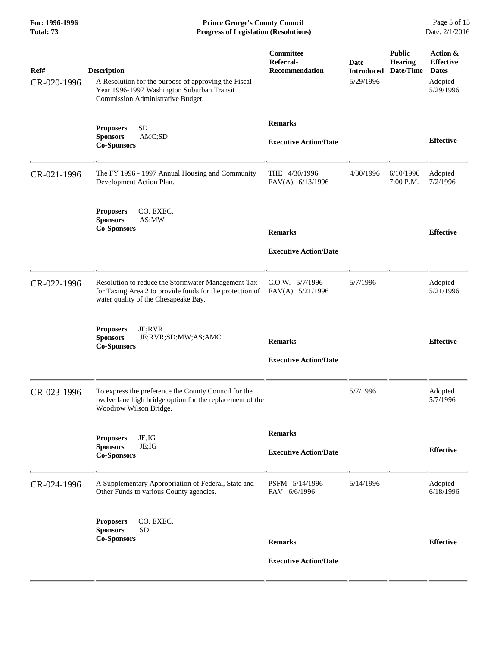**For: 1996-1996 Prince George's County Council** Page 5 of 15<br> **Prince George's County Council** Page 5 of 15<br> **Progress of Legislation (Resolutions)** Date: 2/1/2016 **Total: 73 Progress of Legislation (Resolutions)** 

| Ref#        | <b>Description</b>                                                                                                                                     | Committee<br>Referral-<br><b>Recommendation</b> | <b>Date</b><br><b>Introduced</b> | <b>Public</b><br>Hearing<br>Date/Time | Action &<br><b>Effective</b><br><b>Dates</b> |
|-------------|--------------------------------------------------------------------------------------------------------------------------------------------------------|-------------------------------------------------|----------------------------------|---------------------------------------|----------------------------------------------|
| CR-020-1996 | A Resolution for the purpose of approving the Fiscal<br>Year 1996-1997 Washington Suburban Transit<br>Commission Administrative Budget.                |                                                 | 5/29/1996                        |                                       | Adopted<br>5/29/1996                         |
|             | <b>SD</b><br><b>Proposers</b><br>AMC;SD<br><b>Sponsors</b><br><b>Co-Sponsors</b>                                                                       | <b>Remarks</b><br><b>Executive Action/Date</b>  |                                  |                                       | <b>Effective</b>                             |
| CR-021-1996 | The FY 1996 - 1997 Annual Housing and Community<br>Development Action Plan.                                                                            | THE 4/30/1996<br>FAV(A) 6/13/1996               | 4/30/1996                        | 6/10/1996<br>7:00 P.M.                | Adopted<br>7/2/1996                          |
|             | <b>Proposers</b><br>CO. EXEC.<br><b>Sponsors</b><br>AS;MW<br><b>Co-Sponsors</b>                                                                        | <b>Remarks</b>                                  |                                  |                                       | <b>Effective</b>                             |
|             |                                                                                                                                                        | <b>Executive Action/Date</b>                    |                                  |                                       |                                              |
| CR-022-1996 | Resolution to reduce the Stormwater Management Tax<br>for Taxing Area 2 to provide funds for the protection of<br>water quality of the Chesapeake Bay. | C.O.W. 5/7/1996<br>FAV(A) 5/21/1996             | 5/7/1996                         |                                       | Adopted<br>5/21/1996                         |
|             | <b>Proposers</b><br>JE;RVR<br><b>Sponsors</b><br>JE;RVR;SD;MW;AS;AMC<br><b>Co-Sponsors</b>                                                             | <b>Remarks</b><br><b>Executive Action/Date</b>  |                                  |                                       | <b>Effective</b>                             |
| CR-023-1996 | To express the preference the County Council for the<br>twelve lane high bridge option for the replacement of the<br>Woodrow Wilson Bridge.            |                                                 | 5/7/1996                         |                                       | Adopted<br>5/7/1996                          |
|             |                                                                                                                                                        | <b>Remarks</b>                                  |                                  |                                       |                                              |
|             | JE;IG<br><b>Proposers</b><br><b>Sponsors</b><br>JE;IG<br><b>Co-Sponsors</b>                                                                            | <b>Executive Action/Date</b>                    |                                  |                                       | <b>Effective</b>                             |
| CR-024-1996 | A Supplementary Appropriation of Federal, State and<br>Other Funds to various County agencies.                                                         | PSFM 5/14/1996<br>FAV 6/6/1996                  | 5/14/1996                        |                                       | Adopted<br>6/18/1996                         |
|             | CO. EXEC.<br><b>Proposers</b><br><b>SD</b><br><b>Sponsors</b>                                                                                          |                                                 |                                  |                                       |                                              |
|             | <b>Co-Sponsors</b>                                                                                                                                     | <b>Remarks</b>                                  |                                  |                                       | <b>Effective</b>                             |
|             |                                                                                                                                                        | <b>Executive Action/Date</b>                    |                                  |                                       |                                              |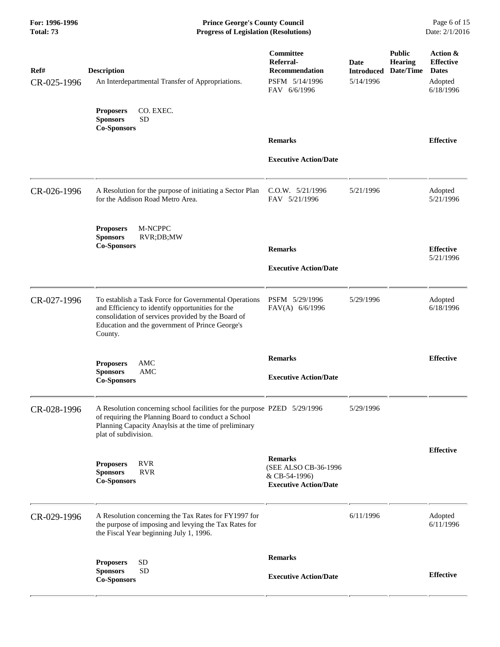**For: 1996-1996 Prince George's County Council** Page 6 of 15<br> **Prince George's County Council** Page 6 of 15<br> **Progress of Legislation (Resolutions)** Date: 2/1/2016 **Total: 73 Progress of Legislation (Resolutions)** 

| Ref#<br>CR-025-1996 | <b>Description</b><br>An Interdepartmental Transfer of Appropriations.                                                                                                                                                        | Committee<br>Referral-<br><b>Recommendation</b><br>PSFM 5/14/1996<br>FAV 6/6/1996       | Date<br><b>Introduced</b><br>5/14/1996 | <b>Public</b><br><b>Hearing</b><br>Date/Time | Action &<br><b>Effective</b><br><b>Dates</b><br>Adopted<br>6/18/1996 |
|---------------------|-------------------------------------------------------------------------------------------------------------------------------------------------------------------------------------------------------------------------------|-----------------------------------------------------------------------------------------|----------------------------------------|----------------------------------------------|----------------------------------------------------------------------|
|                     | CO. EXEC.<br><b>Proposers</b><br><b>SD</b><br><b>Sponsors</b><br><b>Co-Sponsors</b>                                                                                                                                           |                                                                                         |                                        |                                              |                                                                      |
|                     |                                                                                                                                                                                                                               | <b>Remarks</b>                                                                          |                                        |                                              | <b>Effective</b>                                                     |
|                     |                                                                                                                                                                                                                               | <b>Executive Action/Date</b>                                                            |                                        |                                              |                                                                      |
| CR-026-1996         | A Resolution for the purpose of initiating a Sector Plan<br>for the Addison Road Metro Area.                                                                                                                                  | $C.0.W.$ $5/21/1996$<br>FAV 5/21/1996                                                   | 5/21/1996                              |                                              | Adopted<br>5/21/1996                                                 |
|                     | <b>M-NCPPC</b><br><b>Proposers</b><br><b>Sponsors</b><br>RVR;DB;MW<br><b>Co-Sponsors</b>                                                                                                                                      | <b>Remarks</b>                                                                          |                                        |                                              | <b>Effective</b>                                                     |
|                     |                                                                                                                                                                                                                               | <b>Executive Action/Date</b>                                                            |                                        |                                              | 5/21/1996                                                            |
| CR-027-1996         | To establish a Task Force for Governmental Operations<br>and Efficiency to identify opportunities for the<br>consolidation of services provided by the Board of<br>Education and the government of Prince George's<br>County. | PSFM 5/29/1996<br>FAV(A) 6/6/1996                                                       | 5/29/1996                              |                                              | Adopted<br>6/18/1996                                                 |
|                     | <b>Proposers</b><br>AMC                                                                                                                                                                                                       | <b>Remarks</b>                                                                          |                                        |                                              | <b>Effective</b>                                                     |
|                     | AMC<br><b>Sponsors</b><br><b>Co-Sponsors</b>                                                                                                                                                                                  | <b>Executive Action/Date</b>                                                            |                                        |                                              |                                                                      |
| CR-028-1996         | A Resolution concerning school facilities for the purpose PZED 5/29/1996<br>of requiring the Planning Board to conduct a School<br>Planning Capacity Anaylsis at the time of preliminary<br>plat of subdivision.              |                                                                                         | 5/29/1996                              |                                              |                                                                      |
|                     | <b>RVR</b><br><b>Proposers</b><br><b>RVR</b><br><b>Sponsors</b><br><b>Co-Sponsors</b>                                                                                                                                         | <b>Remarks</b><br>(SEE ALSO CB-36-1996<br>& CB-54-1996)<br><b>Executive Action/Date</b> |                                        |                                              | <b>Effective</b>                                                     |
| CR-029-1996         | A Resolution concerning the Tax Rates for FY1997 for<br>the purpose of imposing and levying the Tax Rates for<br>the Fiscal Year beginning July 1, 1996.                                                                      |                                                                                         | 6/11/1996                              |                                              | Adopted<br>6/11/1996                                                 |
|                     | <b>SD</b><br><b>Proposers</b>                                                                                                                                                                                                 | <b>Remarks</b>                                                                          |                                        |                                              |                                                                      |
|                     | <b>SD</b><br><b>Sponsors</b><br><b>Co-Sponsors</b>                                                                                                                                                                            | <b>Executive Action/Date</b>                                                            |                                        |                                              | <b>Effective</b>                                                     |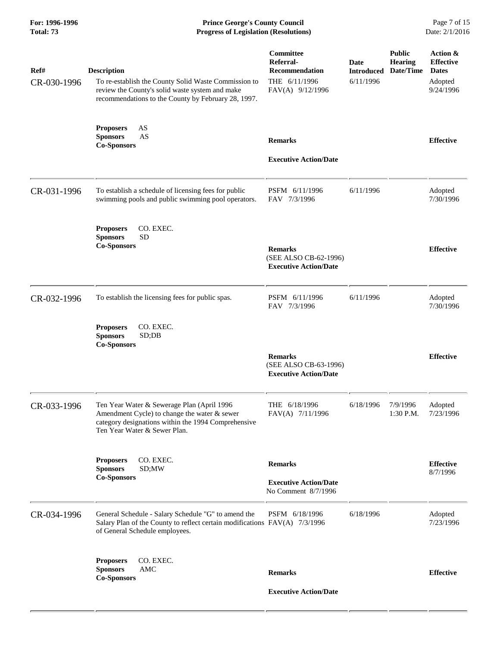**For: 1996-1996 Prince George's County Council** Page 7 of 15<br> **Progress of Legislation (Resolutions)** Date: 2/1/2016 **Total: 73 Progress of Legislation (Resolutions)** 

| Ref#<br>CR-030-1996 | <b>Description</b><br>To re-establish the County Solid Waste Commission to<br>review the County's solid waste system and make<br>recommendations to the County by February 28, 1997. | Committee<br>Referral-<br><b>Recommendation</b><br>THE 6/11/1996<br>FAV(A) 9/12/1996 | Date<br><b>Introduced</b><br>6/11/1996 | <b>Public</b><br><b>Hearing</b><br>Date/Time | Action &<br><b>Effective</b><br><b>Dates</b><br>Adopted<br>9/24/1996 |
|---------------------|--------------------------------------------------------------------------------------------------------------------------------------------------------------------------------------|--------------------------------------------------------------------------------------|----------------------------------------|----------------------------------------------|----------------------------------------------------------------------|
|                     | AS<br><b>Proposers</b><br>AS<br><b>Sponsors</b><br><b>Co-Sponsors</b>                                                                                                                | <b>Remarks</b><br><b>Executive Action/Date</b>                                       |                                        |                                              | <b>Effective</b>                                                     |
| CR-031-1996         | To establish a schedule of licensing fees for public<br>swimming pools and public swimming pool operators.                                                                           | PSFM 6/11/1996<br>FAV 7/3/1996                                                       | 6/11/1996                              |                                              | Adopted<br>7/30/1996                                                 |
|                     | CO. EXEC.<br><b>Proposers</b><br><b>SD</b><br><b>Sponsors</b><br><b>Co-Sponsors</b>                                                                                                  | <b>Remarks</b><br>(SEE ALSO CB-62-1996)<br><b>Executive Action/Date</b>              |                                        |                                              | <b>Effective</b>                                                     |
| CR-032-1996         | To establish the licensing fees for public spas.                                                                                                                                     | PSFM 6/11/1996<br>FAV 7/3/1996                                                       | 6/11/1996                              |                                              | Adopted<br>7/30/1996                                                 |
|                     | CO. EXEC.<br><b>Proposers</b><br><b>Sponsors</b><br>SD;DB<br><b>Co-Sponsors</b>                                                                                                      | <b>Remarks</b>                                                                       |                                        |                                              | <b>Effective</b>                                                     |
|                     |                                                                                                                                                                                      | (SEE ALSO CB-63-1996)<br><b>Executive Action/Date</b>                                |                                        |                                              |                                                                      |
| CR-033-1996         | Ten Year Water & Sewerage Plan (April 1996<br>Amendment Cycle) to change the water & sewer<br>category designations within the 1994 Comprehensive<br>Ten Year Water & Sewer Plan.    | THE 6/18/1996<br>FAV(A) 7/11/1996                                                    | 6/18/1996                              | 7/9/1996<br>1:30 P.M.                        | Adopted<br>7/23/1996                                                 |
|                     | CO. EXEC.<br><b>Proposers</b><br><b>Sponsors</b><br>SD;MW                                                                                                                            | <b>Remarks</b>                                                                       |                                        |                                              | <b>Effective</b><br>8/7/1996                                         |
|                     | <b>Co-Sponsors</b>                                                                                                                                                                   | <b>Executive Action/Date</b><br>No Comment 8/7/1996                                  |                                        |                                              |                                                                      |
| CR-034-1996         | General Schedule - Salary Schedule "G" to amend the<br>Salary Plan of the County to reflect certain modifications FAV(A) 7/3/1996<br>of General Schedule employees.                  | PSFM 6/18/1996                                                                       | 6/18/1996                              |                                              | Adopted<br>7/23/1996                                                 |
|                     | CO. EXEC.<br><b>Proposers</b><br><b>Sponsors</b><br>AMC<br><b>Co-Sponsors</b>                                                                                                        | <b>Remarks</b>                                                                       |                                        |                                              | <b>Effective</b>                                                     |
|                     |                                                                                                                                                                                      | <b>Executive Action/Date</b>                                                         |                                        |                                              |                                                                      |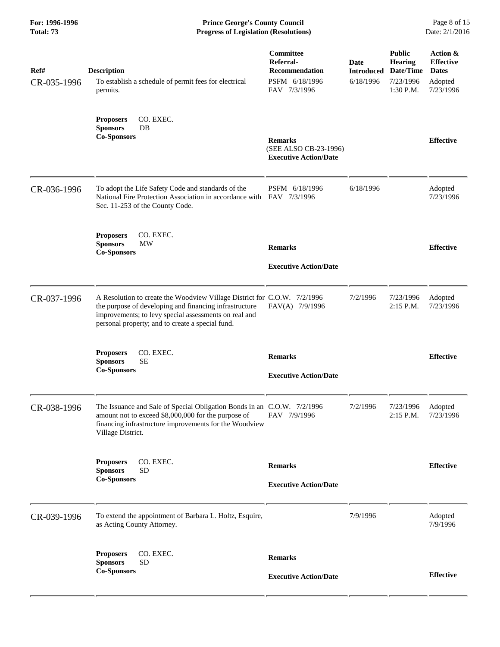**For: 1996-1996 Prince George's County Council** Page 8 of 15<br> **Prince George's County Council** Page 8 of 15<br> **Progress of Legislation (Resolutions)** Date: 2/1/2016 **Total: 73 Progress of Legislation (Resolutions)** 

| Ref#<br>CR-035-1996 | <b>Description</b><br>To establish a schedule of permit fees for electrical<br>permits.                                                                                                                                                         | Committee<br>Referral-<br>Recommendation<br>PSFM 6/18/1996<br>FAV 7/3/1996 | Date<br><b>Introduced</b><br>6/18/1996 | <b>Public</b><br><b>Hearing</b><br>Date/Time<br>7/23/1996<br>1:30 P.M. | Action &<br><b>Effective</b><br><b>Dates</b><br>Adopted<br>7/23/1996 |
|---------------------|-------------------------------------------------------------------------------------------------------------------------------------------------------------------------------------------------------------------------------------------------|----------------------------------------------------------------------------|----------------------------------------|------------------------------------------------------------------------|----------------------------------------------------------------------|
|                     | CO. EXEC.<br><b>Proposers</b><br><b>Sponsors</b><br>DB<br><b>Co-Sponsors</b>                                                                                                                                                                    | <b>Remarks</b><br>(SEE ALSO CB-23-1996)<br><b>Executive Action/Date</b>    |                                        |                                                                        | <b>Effective</b>                                                     |
| CR-036-1996         | To adopt the Life Safety Code and standards of the<br>National Fire Protection Association in accordance with FAV 7/3/1996<br>Sec. 11-253 of the County Code.                                                                                   | PSFM 6/18/1996                                                             | 6/18/1996                              |                                                                        | Adopted<br>7/23/1996                                                 |
|                     | CO. EXEC.<br><b>Proposers</b><br><b>MW</b><br><b>Sponsors</b><br><b>Co-Sponsors</b>                                                                                                                                                             | <b>Remarks</b><br><b>Executive Action/Date</b>                             |                                        |                                                                        | <b>Effective</b>                                                     |
| CR-037-1996         | A Resolution to create the Woodview Village District for C.O.W. 7/2/1996<br>the purpose of developing and financing infrastructure<br>improvements; to levy special assessments on real and<br>personal property; and to create a special fund. | FAV(A) 7/9/1996                                                            | 7/2/1996                               | 7/23/1996<br>$2:15$ P.M.                                               | Adopted<br>7/23/1996                                                 |
|                     | CO. EXEC.<br><b>Proposers</b><br><b>Sponsors</b><br><b>SE</b><br><b>Co-Sponsors</b>                                                                                                                                                             | <b>Remarks</b><br><b>Executive Action/Date</b>                             |                                        |                                                                        | <b>Effective</b>                                                     |
| CR-038-1996         | The Issuance and Sale of Special Obligation Bonds in an C.O.W. 7/2/1996<br>amount not to exceed \$8,000,000 for the purpose of<br>financing infrastructure improvements for the Woodview<br>Village District.                                   | FAV 7/9/1996                                                               | 7/2/1996                               | 7/23/1996<br>2:15 P.M.                                                 | Adopted<br>7/23/1996                                                 |
|                     | CO. EXEC.<br><b>Proposers</b><br><b>SD</b><br><b>Sponsors</b><br><b>Co-Sponsors</b>                                                                                                                                                             | <b>Remarks</b><br><b>Executive Action/Date</b>                             |                                        |                                                                        | <b>Effective</b>                                                     |
| CR-039-1996         | To extend the appointment of Barbara L. Holtz, Esquire,<br>as Acting County Attorney.                                                                                                                                                           |                                                                            | 7/9/1996                               |                                                                        | Adopted<br>7/9/1996                                                  |
|                     | CO. EXEC.<br><b>Proposers</b><br><b>SD</b><br><b>Sponsors</b><br><b>Co-Sponsors</b>                                                                                                                                                             | <b>Remarks</b><br><b>Executive Action/Date</b>                             |                                        |                                                                        | <b>Effective</b>                                                     |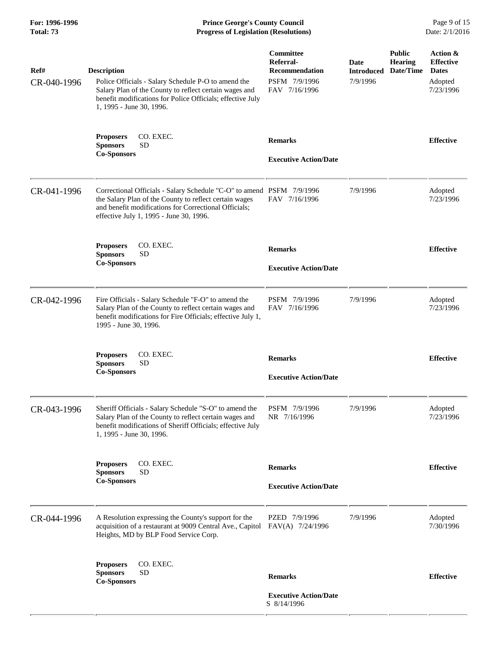**For: 1996-1996 Prince George's County Council** Page 9 of 15<br> **Progress of Legislation (Resolutions)** Date: 2/1/2016 **Total: 73 Progress of Legislation (Resolutions)** 

| Ref#<br>CR-040-1996 | <b>Description</b><br>Police Officials - Salary Schedule P-O to amend the<br>Salary Plan of the County to reflect certain wages and<br>benefit modifications for Police Officials; effective July<br>1, 1995 - June 30, 1996.       | Committee<br>Referral-<br>Recommendation<br>PSFM 7/9/1996<br>FAV 7/16/1996 | Date<br><b>Introduced</b><br>7/9/1996 | <b>Public</b><br><b>Hearing</b><br>Date/Time | Action &<br><b>Effective</b><br><b>Dates</b><br>Adopted<br>7/23/1996 |
|---------------------|-------------------------------------------------------------------------------------------------------------------------------------------------------------------------------------------------------------------------------------|----------------------------------------------------------------------------|---------------------------------------|----------------------------------------------|----------------------------------------------------------------------|
|                     | CO. EXEC.<br><b>Proposers</b><br><b>Sponsors</b><br><b>SD</b><br><b>Co-Sponsors</b>                                                                                                                                                 | <b>Remarks</b><br><b>Executive Action/Date</b>                             |                                       |                                              | <b>Effective</b>                                                     |
| CR-041-1996         | Correctional Officials - Salary Schedule "C-O" to amend PSFM 7/9/1996<br>the Salary Plan of the County to reflect certain wages<br>and benefit modifications for Correctional Officials;<br>effective July 1, 1995 - June 30, 1996. | FAV 7/16/1996                                                              | 7/9/1996                              |                                              | Adopted<br>7/23/1996                                                 |
|                     | <b>Proposers</b><br>CO. EXEC.<br><b>SD</b><br><b>Sponsors</b><br><b>Co-Sponsors</b>                                                                                                                                                 | <b>Remarks</b><br><b>Executive Action/Date</b>                             |                                       |                                              | <b>Effective</b>                                                     |
| CR-042-1996         | Fire Officials - Salary Schedule "F-O" to amend the<br>Salary Plan of the County to reflect certain wages and<br>benefit modifications for Fire Officials; effective July 1,<br>1995 - June 30, 1996.                               | PSFM 7/9/1996<br>FAV 7/16/1996                                             | 7/9/1996                              |                                              | Adopted<br>7/23/1996                                                 |
|                     | CO. EXEC.<br><b>Proposers</b><br><b>Sponsors</b><br><b>SD</b><br><b>Co-Sponsors</b>                                                                                                                                                 | <b>Remarks</b><br><b>Executive Action/Date</b>                             |                                       |                                              | <b>Effective</b>                                                     |
| CR-043-1996         | Sheriff Officials - Salary Schedule "S-O" to amend the<br>Salary Plan of the County to reflect certain wages and<br>benefit modifications of Sheriff Officials; effective July<br>1, 1995 - June 30, 1996.                          | PSFM 7/9/1996<br>NR 7/16/1996                                              | 7/9/1996                              |                                              | Adopted<br>7/23/1996                                                 |
|                     | <b>Proposers</b><br>CO. EXEC.<br><b>SD</b><br><b>Sponsors</b><br><b>Co-Sponsors</b>                                                                                                                                                 | <b>Remarks</b><br><b>Executive Action/Date</b>                             |                                       |                                              | <b>Effective</b>                                                     |
| CR-044-1996         | A Resolution expressing the County's support for the<br>acquisition of a restaurant at 9009 Central Ave., Capitol<br>Heights, MD by BLP Food Service Corp.                                                                          | PZED 7/9/1996<br>FAV(A) 7/24/1996                                          | 7/9/1996                              |                                              | Adopted<br>7/30/1996                                                 |
|                     | <b>Proposers</b><br>CO. EXEC.<br><b>SD</b><br><b>Sponsors</b><br><b>Co-Sponsors</b>                                                                                                                                                 | <b>Remarks</b><br><b>Executive Action/Date</b><br>S 8/14/1996              |                                       |                                              | <b>Effective</b>                                                     |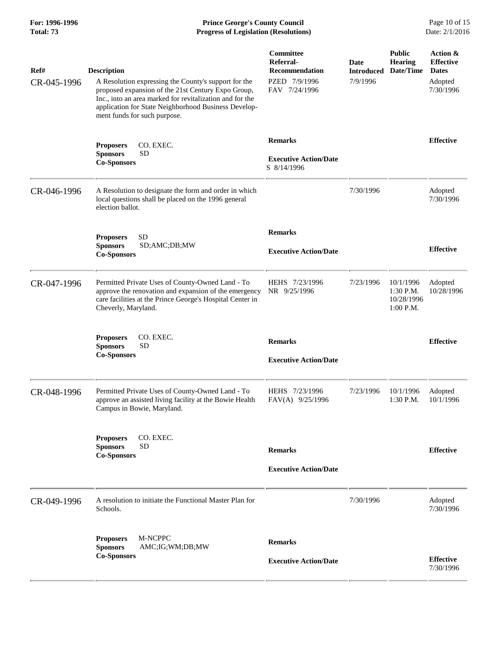**For: 1996-1996 Prince George's County Council** Page 10 of 15<br> **Progress of Legislation (Resolutions)** Date: 2/1/2016 **Total: 73 Progress of Legislation (Resolutions)** 

| Ref#<br>CR-045-1996 | <b>Description</b><br>A Resolution expressing the County's support for the<br>proposed expansion of the 21st Century Expo Group,<br>Inc., into an area marked for revitalization and for the<br>application for State Neighborhood Business Develop-<br>ment funds for such purpose. | Committee<br>Referral-<br><b>Recommendation</b><br>PZED 7/9/1996<br>FAV 7/24/1996 | <b>Date</b><br><b>Introduced</b><br>7/9/1996 | <b>Public</b><br><b>Hearing</b><br>Date/Time        | Action &<br><b>Effective</b><br><b>Dates</b><br>Adopted<br>7/30/1996 |
|---------------------|--------------------------------------------------------------------------------------------------------------------------------------------------------------------------------------------------------------------------------------------------------------------------------------|-----------------------------------------------------------------------------------|----------------------------------------------|-----------------------------------------------------|----------------------------------------------------------------------|
|                     | CO. EXEC.<br><b>Proposers</b><br><b>SD</b><br><b>Sponsors</b><br><b>Co-Sponsors</b>                                                                                                                                                                                                  | <b>Remarks</b><br><b>Executive Action/Date</b><br>S 8/14/1996                     |                                              |                                                     | <b>Effective</b>                                                     |
| CR-046-1996         | A Resolution to designate the form and order in which<br>local questions shall be placed on the 1996 general<br>election ballot.                                                                                                                                                     |                                                                                   | 7/30/1996                                    |                                                     | Adopted<br>7/30/1996                                                 |
|                     | <b>SD</b><br><b>Proposers</b><br><b>Sponsors</b><br>SD;AMC;DB;MW<br><b>Co-Sponsors</b>                                                                                                                                                                                               | <b>Remarks</b><br><b>Executive Action/Date</b>                                    |                                              |                                                     | <b>Effective</b>                                                     |
| CR-047-1996         | Permitted Private Uses of County-Owned Land - To<br>approve the renovation and expansion of the emergency<br>care facilities at the Prince George's Hospital Center in<br>Cheverly, Maryland.                                                                                        | HEHS 7/23/1996<br>NR 9/25/1996                                                    | 7/23/1996                                    | 10/1/1996<br>$1:30$ P.M.<br>10/28/1996<br>1:00 P.M. | Adopted<br>10/28/1996                                                |
|                     | CO. EXEC.<br><b>Proposers</b><br><b>Sponsors</b><br><b>SD</b><br><b>Co-Sponsors</b>                                                                                                                                                                                                  | <b>Remarks</b><br><b>Executive Action/Date</b>                                    |                                              |                                                     | <b>Effective</b>                                                     |
| CR-048-1996         | Permitted Private Uses of County-Owned Land - To<br>approve an assisted living facility at the Bowie Health<br>Campus in Bowie, Maryland.                                                                                                                                            | HEHS 7/23/1996<br>FAV(A) 9/25/1996                                                | 7/23/1996                                    | 10/1/1996<br>1:30 P.M.                              | Adopted<br>10/1/1996                                                 |
|                     | CO. EXEC.<br><b>Proposers</b><br><b>Sponsors</b><br><b>SD</b><br><b>Co-Sponsors</b>                                                                                                                                                                                                  | <b>Remarks</b><br><b>Executive Action/Date</b>                                    |                                              |                                                     | <b>Effective</b>                                                     |
| CR-049-1996         | A resolution to initiate the Functional Master Plan for<br>Schools.                                                                                                                                                                                                                  |                                                                                   | 7/30/1996                                    |                                                     | Adopted<br>7/30/1996                                                 |
|                     | M-NCPPC<br><b>Proposers</b><br><b>Sponsors</b><br>AMC;IG;WM;DB;MW<br><b>Co-Sponsors</b>                                                                                                                                                                                              | <b>Remarks</b><br><b>Executive Action/Date</b>                                    |                                              |                                                     | <b>Effective</b><br>7/30/1996                                        |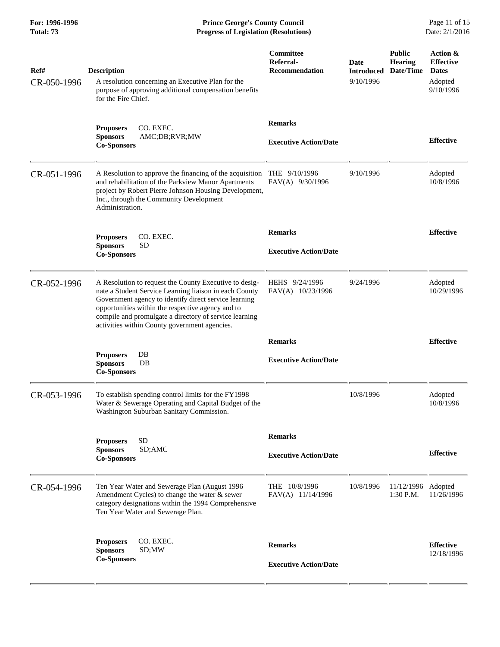**For: 1996-1996 Prince George's County Council** Page 11 of 15<br> **Progress of Legislation (Resolutions)** Date: 2/1/2016 **Progress of Legislation (Resolutions) Progress of Legislation (Resolutions)** 

| Ref#<br>CR-050-1996 | <b>Description</b><br>A resolution concerning an Executive Plan for the<br>purpose of approving additional compensation benefits<br>for the Fire Chief.                                                                                                                                                                                   | <b>Committee</b><br>Referral-<br>Recommendation | Date<br><b>Introduced</b><br>9/10/1996 | <b>Public</b><br><b>Hearing</b><br>Date/Time | Action &<br><b>Effective</b><br><b>Dates</b><br>Adopted<br>9/10/1996 |
|---------------------|-------------------------------------------------------------------------------------------------------------------------------------------------------------------------------------------------------------------------------------------------------------------------------------------------------------------------------------------|-------------------------------------------------|----------------------------------------|----------------------------------------------|----------------------------------------------------------------------|
|                     | CO. EXEC.<br><b>Proposers</b><br><b>Sponsors</b><br>AMC;DB;RVR;MW<br><b>Co-Sponsors</b>                                                                                                                                                                                                                                                   | <b>Remarks</b><br><b>Executive Action/Date</b>  |                                        |                                              | <b>Effective</b>                                                     |
| CR-051-1996         | A Resolution to approve the financing of the acquisition<br>and rehabilitation of the Parkview Manor Apartments<br>project by Robert Pierre Johnson Housing Development,<br>Inc., through the Community Development<br>Administration.                                                                                                    | THE $9/10/1996$<br>FAV(A) 9/30/1996             | 9/10/1996                              |                                              | Adopted<br>10/8/1996                                                 |
|                     | CO. EXEC.<br><b>Proposers</b><br><b>Sponsors</b><br><b>SD</b><br><b>Co-Sponsors</b>                                                                                                                                                                                                                                                       | <b>Remarks</b><br><b>Executive Action/Date</b>  |                                        |                                              | <b>Effective</b>                                                     |
| CR-052-1996         | A Resolution to request the County Executive to desig-<br>nate a Student Service Learning liaison in each County<br>Government agency to identify direct service learning<br>opportunities within the respective agency and to<br>compile and promulgate a directory of service learning<br>activities within County government agencies. | HEHS 9/24/1996<br>FAV(A) 10/23/1996             | 9/24/1996                              |                                              | Adopted<br>10/29/1996                                                |
|                     |                                                                                                                                                                                                                                                                                                                                           | <b>Remarks</b>                                  |                                        |                                              | <b>Effective</b>                                                     |
|                     | DB<br><b>Proposers</b><br><b>Sponsors</b><br>$DB$<br><b>Co-Sponsors</b>                                                                                                                                                                                                                                                                   | <b>Executive Action/Date</b>                    |                                        |                                              |                                                                      |
| CR-053-1996         | To establish spending control limits for the FY1998<br>Water & Sewerage Operating and Capital Budget of the<br>Washington Suburban Sanitary Commission.                                                                                                                                                                                   |                                                 | 10/8/1996                              |                                              | Adopted<br>10/8/1996                                                 |
|                     |                                                                                                                                                                                                                                                                                                                                           | <b>Remarks</b>                                  |                                        |                                              |                                                                      |
|                     | <b>SD</b><br><b>Proposers</b><br><b>Sponsors</b><br>SD;AMC<br><b>Co-Sponsors</b>                                                                                                                                                                                                                                                          | <b>Executive Action/Date</b>                    |                                        |                                              | <b>Effective</b>                                                     |
| CR-054-1996         | Ten Year Water and Sewerage Plan (August 1996<br>Amendment Cycles) to change the water & sewer<br>category designations within the 1994 Comprehensive<br>Ten Year Water and Sewerage Plan.                                                                                                                                                | THE 10/8/1996<br>FAV(A) 11/14/1996              | 10/8/1996                              | 11/12/1996 Adopted<br>1:30 P.M.              | 11/26/1996                                                           |
|                     | CO. EXEC.<br><b>Proposers</b><br><b>Sponsors</b><br>SD;MW<br><b>Co-Sponsors</b>                                                                                                                                                                                                                                                           | <b>Remarks</b><br><b>Executive Action/Date</b>  |                                        |                                              | <b>Effective</b><br>12/18/1996                                       |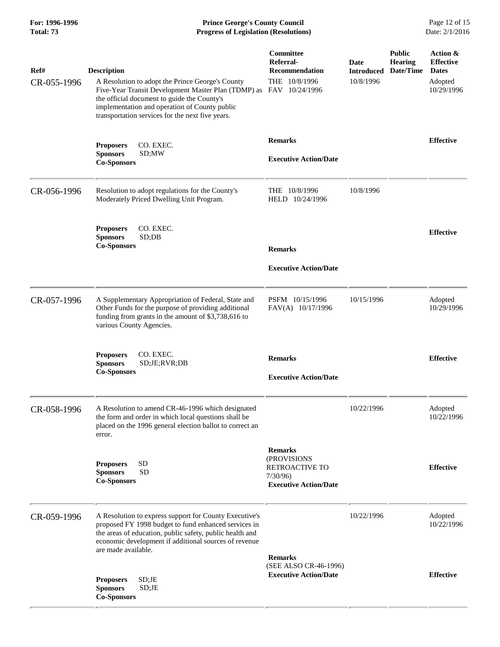**For: 1996-1996 Prince George's County Council** Page 12 of 15<br> **Progress of Legislation (Resolutions)** Date: 2/1/2016 **Total: 73 Progress of Legislation (Resolutions)** 

| Ref#<br>CR-055-1996 | <b>Description</b><br>A Resolution to adopt the Prince George's County<br>Five-Year Transit Development Master Plan (TDMP) as<br>the official document to guide the County's<br>implementation and operation of County public                              | Committee<br>Referral-<br><b>Recommendation</b><br>THE 10/8/1996<br>FAV 10/24/1996         | Date<br><b>Introduced</b><br>10/8/1996 | <b>Public</b><br><b>Hearing</b><br>Date/Time | Action &<br><b>Effective</b><br><b>Dates</b><br>Adopted<br>10/29/1996 |
|---------------------|------------------------------------------------------------------------------------------------------------------------------------------------------------------------------------------------------------------------------------------------------------|--------------------------------------------------------------------------------------------|----------------------------------------|----------------------------------------------|-----------------------------------------------------------------------|
|                     | transportation services for the next five years.<br>CO. EXEC.<br><b>Proposers</b><br><b>Sponsors</b><br>SD;MW<br><b>Co-Sponsors</b>                                                                                                                        | <b>Remarks</b><br><b>Executive Action/Date</b>                                             |                                        |                                              | <b>Effective</b>                                                      |
| CR-056-1996         | Resolution to adopt regulations for the County's<br>Moderately Priced Dwelling Unit Program.                                                                                                                                                               | THE 10/8/1996<br>HELD 10/24/1996                                                           | 10/8/1996                              |                                              |                                                                       |
|                     | CO. EXEC.<br><b>Proposers</b><br><b>Sponsors</b><br>SD;DB<br><b>Co-Sponsors</b>                                                                                                                                                                            | <b>Remarks</b><br><b>Executive Action/Date</b>                                             |                                        |                                              | <b>Effective</b>                                                      |
| CR-057-1996         | A Supplementary Appropriation of Federal, State and<br>Other Funds for the purpose of providing additional<br>funding from grants in the amount of \$3,738,616 to<br>various County Agencies.                                                              | PSFM 10/15/1996<br>FAV(A) 10/17/1996                                                       | 10/15/1996                             |                                              | Adopted<br>10/29/1996                                                 |
|                     | CO. EXEC.<br><b>Proposers</b><br><b>Sponsors</b><br>SD;JE;RVR;DB<br><b>Co-Sponsors</b>                                                                                                                                                                     | <b>Remarks</b><br><b>Executive Action/Date</b>                                             |                                        |                                              | <b>Effective</b>                                                      |
| CR-058-1996         | A Resolution to amend CR-46-1996 which designated<br>the form and order in which local questions shall be<br>placed on the 1996 general election ballot to correct an<br>error.                                                                            |                                                                                            | 10/22/1996                             |                                              | Adopted<br>10/22/1996                                                 |
|                     | <b>Proposers</b><br><b>SD</b><br><b>SD</b><br><b>Sponsors</b><br><b>Co-Sponsors</b>                                                                                                                                                                        | <b>Remarks</b><br>(PROVISIONS<br>RETROACTIVE TO<br>7/30/96<br><b>Executive Action/Date</b> |                                        |                                              | <b>Effective</b>                                                      |
| CR-059-1996         | A Resolution to express support for County Executive's<br>proposed FY 1998 budget to fund enhanced services in<br>the areas of education, public safety, public health and<br>economic development if additional sources of revenue<br>are made available. | <b>Remarks</b>                                                                             | 10/22/1996                             |                                              | Adopted<br>10/22/1996                                                 |
|                     | <b>Proposers</b><br>SD;JE<br>SD;JE<br><b>Sponsors</b><br><b>Co-Sponsors</b>                                                                                                                                                                                | (SEE ALSO CR-46-1996)<br><b>Executive Action/Date</b>                                      |                                        |                                              | <b>Effective</b>                                                      |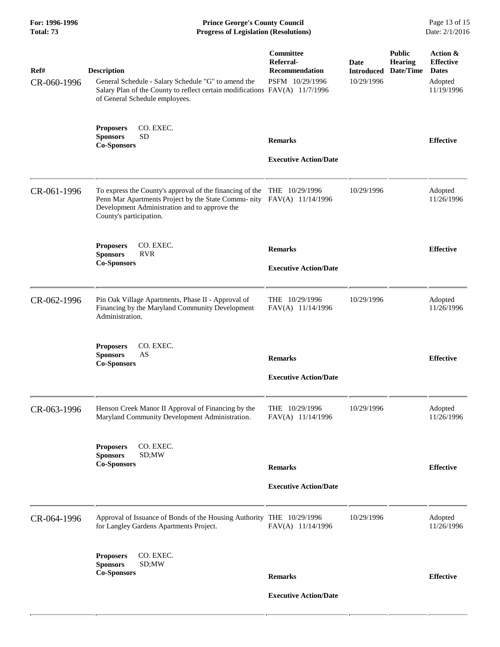| For: 1996-1996<br>Total: 73 | <b>Prince George's County Council</b><br><b>Progress of Legislation (Resolutions)</b>                                                                                                                                         |                                                                    |                                         |                                              |                                                                       |
|-----------------------------|-------------------------------------------------------------------------------------------------------------------------------------------------------------------------------------------------------------------------------|--------------------------------------------------------------------|-----------------------------------------|----------------------------------------------|-----------------------------------------------------------------------|
| Ref#<br>CR-060-1996         | <b>Description</b><br>General Schedule - Salary Schedule "G" to amend the<br>Salary Plan of the County to reflect certain modifications FAV(A) 11/7/1996<br>of General Schedule employees.                                    | Committee<br>Referral-<br><b>Recommendation</b><br>PSFM 10/29/1996 | Date<br><b>Introduced</b><br>10/29/1996 | <b>Public</b><br><b>Hearing</b><br>Date/Time | Action &<br><b>Effective</b><br><b>Dates</b><br>Adopted<br>11/19/1996 |
|                             | CO. EXEC.<br><b>Proposers</b><br><b>Sponsors</b><br><b>SD</b><br><b>Co-Sponsors</b>                                                                                                                                           | <b>Remarks</b><br><b>Executive Action/Date</b>                     |                                         |                                              | <b>Effective</b>                                                      |
| CR-061-1996                 | To express the County's approval of the financing of the THE 10/29/1996<br>Penn Mar Apartments Project by the State Commu- nity FAV(A) 11/14/1996<br>Development Administration and to approve the<br>County's participation. |                                                                    | 10/29/1996                              |                                              | Adopted<br>11/26/1996                                                 |
|                             | CO. EXEC.<br><b>Proposers</b><br><b>RVR</b><br><b>Sponsors</b><br><b>Co-Sponsors</b>                                                                                                                                          | <b>Remarks</b><br><b>Executive Action/Date</b>                     |                                         |                                              | <b>Effective</b>                                                      |
| CR-062-1996                 | Pin Oak Village Apartments, Phase II - Approval of<br>Financing by the Maryland Community Development<br>Administration.                                                                                                      | THE 10/29/1996<br>FAV(A) 11/14/1996                                | 10/29/1996                              |                                              | Adopted<br>11/26/1996                                                 |
|                             | CO. EXEC.<br><b>Proposers</b><br>AS<br><b>Sponsors</b><br><b>Co-Sponsors</b>                                                                                                                                                  | <b>Remarks</b><br><b>Executive Action/Date</b>                     |                                         |                                              | <b>Effective</b>                                                      |
| CR-063-1996                 | Henson Creek Manor II Approval of Financing by the<br>Maryland Community Development Administration.                                                                                                                          | THE 10/29/1996<br>FAV(A) 11/14/1996                                | 10/29/1996                              |                                              | Adopted<br>11/26/1996                                                 |
|                             | CO. EXEC.<br><b>Proposers</b><br><b>Sponsors</b><br>SD;MW<br><b>Co-Sponsors</b>                                                                                                                                               | <b>Remarks</b><br><b>Executive Action/Date</b>                     |                                         |                                              | <b>Effective</b>                                                      |
| CR-064-1996                 | Approval of Issuance of Bonds of the Housing Authority THE 10/29/1996<br>for Langley Gardens Apartments Project.                                                                                                              | FAV(A) 11/14/1996                                                  | 10/29/1996                              |                                              | Adopted<br>11/26/1996                                                 |
|                             | CO. EXEC.<br><b>Proposers</b><br><b>Sponsors</b><br>SD;MW<br><b>Co-Sponsors</b>                                                                                                                                               | <b>Remarks</b><br><b>Executive Action/Date</b>                     |                                         |                                              | <b>Effective</b>                                                      |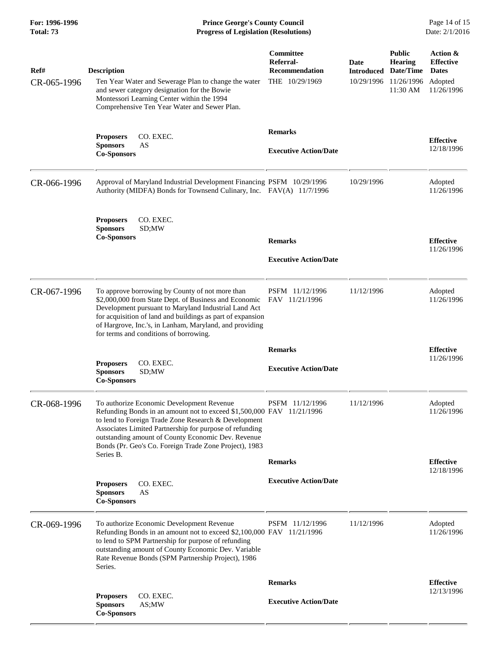**For: 1996-1996 Prince George's County Council** Page 14 of 15<br> **Progress of Legislation (Resolutions)** Date: 2/1/2016 **Total: 73 Progress of Legislation (Resolutions)** 

| Ref#<br>CR-065-1996 | <b>Description</b><br>Ten Year Water and Sewerage Plan to change the water                                                                                                                                                                                                                                                                            | Committee<br>Referral-<br><b>Recommendation</b><br>THE 10/29/1969 | Date<br><b>Introduced</b><br>10/29/1996 | <b>Public</b><br><b>Hearing</b><br>Date/Time<br>11/26/1996 | Action &<br><b>Effective</b><br><b>Dates</b><br>Adopted |
|---------------------|-------------------------------------------------------------------------------------------------------------------------------------------------------------------------------------------------------------------------------------------------------------------------------------------------------------------------------------------------------|-------------------------------------------------------------------|-----------------------------------------|------------------------------------------------------------|---------------------------------------------------------|
|                     | and sewer category designation for the Bowie<br>Montessori Learning Center within the 1994<br>Comprehensive Ten Year Water and Sewer Plan.                                                                                                                                                                                                            |                                                                   |                                         | 11:30 AM                                                   | 11/26/1996                                              |
|                     | CO. EXEC.<br><b>Proposers</b>                                                                                                                                                                                                                                                                                                                         | <b>Remarks</b>                                                    |                                         |                                                            |                                                         |
|                     | <b>Sponsors</b><br>AS<br><b>Co-Sponsors</b>                                                                                                                                                                                                                                                                                                           | <b>Executive Action/Date</b>                                      |                                         |                                                            | <b>Effective</b><br>12/18/1996                          |
| CR-066-1996         | Approval of Maryland Industrial Development Financing PSFM 10/29/1996<br>Authority (MIDFA) Bonds for Townsend Culinary, Inc. FAV(A) 11/7/1996                                                                                                                                                                                                         |                                                                   | 10/29/1996                              |                                                            | Adopted<br>11/26/1996                                   |
|                     | CO. EXEC.<br><b>Proposers</b><br><b>Sponsors</b><br>SD;MW<br><b>Co-Sponsors</b>                                                                                                                                                                                                                                                                       |                                                                   |                                         |                                                            |                                                         |
|                     |                                                                                                                                                                                                                                                                                                                                                       | <b>Remarks</b>                                                    |                                         |                                                            | <b>Effective</b><br>11/26/1996                          |
|                     |                                                                                                                                                                                                                                                                                                                                                       | <b>Executive Action/Date</b>                                      |                                         |                                                            |                                                         |
| CR-067-1996         | To approve borrowing by County of not more than<br>\$2,000,000 from State Dept. of Business and Economic<br>Development pursuant to Maryland Industrial Land Act<br>for acquisition of land and buildings as part of expansion<br>of Hargrove, Inc.'s, in Lanham, Maryland, and providing<br>for terms and conditions of borrowing.                   | PSFM 11/12/1996<br>FAV 11/21/1996                                 | 11/12/1996                              |                                                            | Adopted<br>11/26/1996                                   |
|                     |                                                                                                                                                                                                                                                                                                                                                       | <b>Remarks</b>                                                    |                                         |                                                            | <b>Effective</b>                                        |
|                     | <b>Proposers</b><br>CO. EXEC.<br><b>Sponsors</b><br>SD;MW<br><b>Co-Sponsors</b>                                                                                                                                                                                                                                                                       | <b>Executive Action/Date</b>                                      |                                         |                                                            | 11/26/1996                                              |
| CR-068-1996         | To authorize Economic Development Revenue<br>Refunding Bonds in an amount not to exceed \$1,500,000 FAV 11/21/1996<br>to lend to Foreign Trade Zone Research & Development<br>Associates Limited Partnership for purpose of refunding<br>outstanding amount of County Economic Dev. Revenue<br>Bonds (Pr. Geo's Co. Foreign Trade Zone Project), 1983 | PSFM 11/12/1996                                                   | 11/12/1996                              |                                                            | Adopted<br>11/26/1996                                   |
|                     | Series B.                                                                                                                                                                                                                                                                                                                                             | <b>Remarks</b>                                                    |                                         |                                                            | <b>Effective</b>                                        |
|                     | <b>Proposers</b><br>CO. EXEC.<br><b>Sponsors</b><br>AS<br><b>Co-Sponsors</b>                                                                                                                                                                                                                                                                          | <b>Executive Action/Date</b>                                      |                                         |                                                            | 12/18/1996                                              |
| CR-069-1996         | To authorize Economic Development Revenue<br>Refunding Bonds in an amount not to exceed \$2,100,000 FAV 11/21/1996<br>to lend to SPM Partnership for purpose of refunding<br>outstanding amount of County Economic Dev. Variable<br>Rate Revenue Bonds (SPM Partnership Project), 1986<br>Series.                                                     | PSFM 11/12/1996                                                   | 11/12/1996                              |                                                            | Adopted<br>11/26/1996                                   |
|                     |                                                                                                                                                                                                                                                                                                                                                       | <b>Remarks</b>                                                    |                                         |                                                            | <b>Effective</b>                                        |
|                     | <b>Proposers</b><br>CO. EXEC.<br><b>Sponsors</b><br>AS;MW<br><b>Co-Sponsors</b>                                                                                                                                                                                                                                                                       | <b>Executive Action/Date</b>                                      |                                         |                                                            | 12/13/1996                                              |